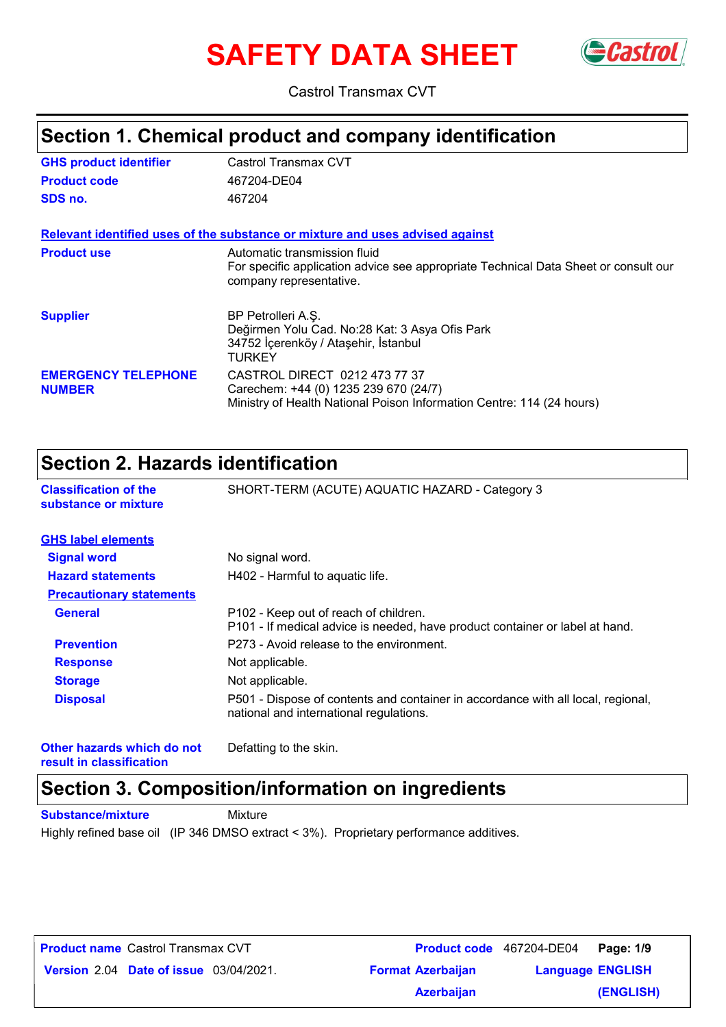# **SAFETY DATA SHEET** GCastrol



Castrol Transmax CVT

### **Section 1. Chemical product and company identification**

| <b>GHS product identifier</b>               | Castrol Transmax CVT                                                                                                                            |
|---------------------------------------------|-------------------------------------------------------------------------------------------------------------------------------------------------|
| <b>Product code</b>                         | 467204-DE04                                                                                                                                     |
| SDS no.                                     | 467204                                                                                                                                          |
|                                             | Relevant identified uses of the substance or mixture and uses advised against                                                                   |
| <b>Product use</b>                          | Automatic transmission fluid<br>For specific application advice see appropriate Technical Data Sheet or consult our<br>company representative.  |
| <b>Supplier</b>                             | BP Petrolleri A.S.<br>Değirmen Yolu Cad. No:28 Kat: 3 Asya Ofis Park<br>34752 İçerenköy / Ataşehir, İstanbul<br>TURKEY                          |
| <b>EMERGENCY TELEPHONE</b><br><b>NUMBER</b> | CASTROL DIRECT 0212 473 77 37<br>Carechem: +44 (0) 1235 239 670 (24/7)<br>Ministry of Health National Poison Information Centre: 114 (24 hours) |

### **Section 2. Hazards identification**

| <b>Classification of the</b>    | SHORT-TERM (ACUTE) AQUATIC HAZARD - Category 3                                                                              |
|---------------------------------|-----------------------------------------------------------------------------------------------------------------------------|
| substance or mixture            |                                                                                                                             |
| <b>GHS label elements</b>       |                                                                                                                             |
| <b>Signal word</b>              | No signal word.                                                                                                             |
| <b>Hazard statements</b>        | H402 - Harmful to aquatic life.                                                                                             |
| <b>Precautionary statements</b> |                                                                                                                             |
| <b>General</b>                  | P102 - Keep out of reach of children.<br>P101 - If medical advice is needed, have product container or label at hand.       |
| <b>Prevention</b>               | P273 - Avoid release to the environment.                                                                                    |
| <b>Response</b>                 | Not applicable.                                                                                                             |
| <b>Storage</b>                  | Not applicable.                                                                                                             |
| <b>Disposal</b>                 | P501 - Dispose of contents and container in accordance with all local, regional,<br>national and international regulations. |

**Other hazards which do not result in classification**

Defatting to the skin.

### **Section 3. Composition/information on ingredients**

**Substance/mixture Mixture** 

Highly refined base oil (IP 346 DMSO extract < 3%). Proprietary performance additives.

| <b>Product name Castrol Transmax CVT</b>      |                          | Product code 467204-DE04 Page: 1/9 |           |
|-----------------------------------------------|--------------------------|------------------------------------|-----------|
| <b>Version 2.04 Date of issue 03/04/2021.</b> | <b>Format Azerbaijan</b> | <b>Language ENGLISH</b>            |           |
|                                               | <b>Azerbaijan</b>        |                                    | (ENGLISH) |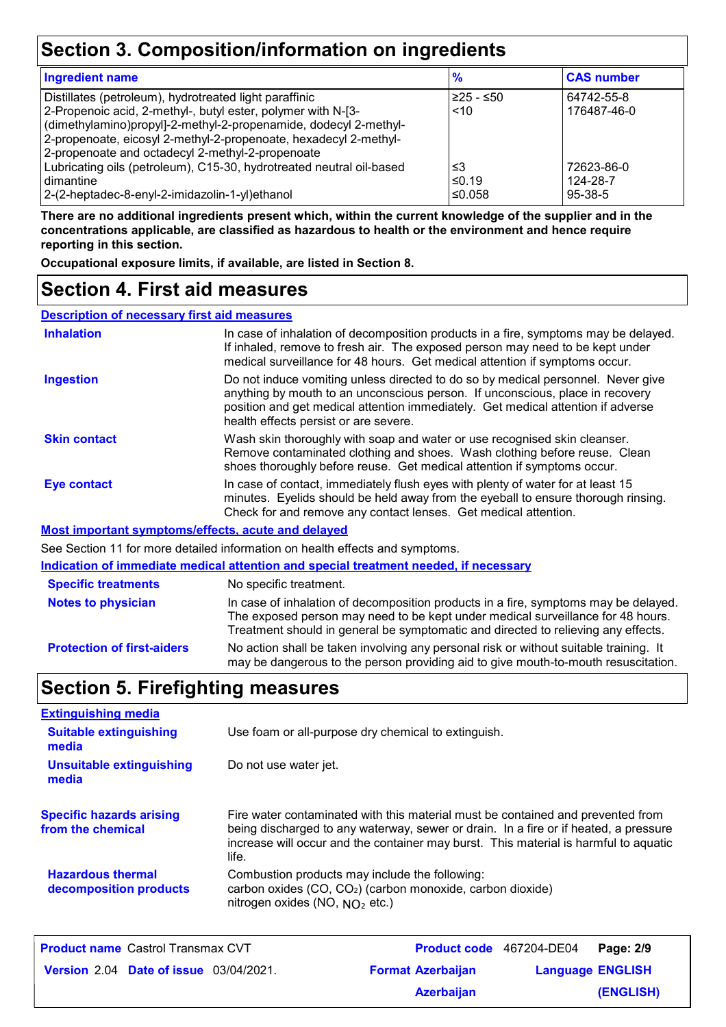### **Section 3. Composition/information on ingredients**

| <b>Ingredient name</b>                                               | $\frac{9}{6}$ | <b>CAS number</b> |
|----------------------------------------------------------------------|---------------|-------------------|
| Distillates (petroleum), hydrotreated light paraffinic               | $≥25 - ≤50$   | 64742-55-8        |
| 2-Propenoic acid, 2-methyl-, butyl ester, polymer with N-[3-         | ~10           | 176487-46-0       |
| (dimethylamino)propyl]-2-methyl-2-propenamide, dodecyl 2-methyl-     |               |                   |
| 2-propenoate, eicosyl 2-methyl-2-propenoate, hexadecyl 2-methyl-     |               |                   |
| 2-propenoate and octadecyl 2-methyl-2-propenoate                     |               |                   |
| Lubricating oils (petroleum), C15-30, hydrotreated neutral oil-based | ≤3            | 72623-86-0        |
| l dimantine                                                          | ≤0.19         | 124-28-7          |
| 2-(2-heptadec-8-enyl-2-imidazolin-1-yl)ethanol                       | ≤0.058        | $95-38-5$         |

**There are no additional ingredients present which, within the current knowledge of the supplier and in the concentrations applicable, are classified as hazardous to health or the environment and hence require reporting in this section.**

**Occupational exposure limits, if available, are listed in Section 8.**

### **Section 4. First aid measures**

**Description of necessary first aid measures**

| <b>Inhalation</b>                                  | In case of inhalation of decomposition products in a fire, symptoms may be delayed.<br>If inhaled, remove to fresh air. The exposed person may need to be kept under<br>medical surveillance for 48 hours. Get medical attention if symptoms occur.                                            |
|----------------------------------------------------|------------------------------------------------------------------------------------------------------------------------------------------------------------------------------------------------------------------------------------------------------------------------------------------------|
| <b>Ingestion</b>                                   | Do not induce vomiting unless directed to do so by medical personnel. Never give<br>anything by mouth to an unconscious person. If unconscious, place in recovery<br>position and get medical attention immediately. Get medical attention if adverse<br>health effects persist or are severe. |
| <b>Skin contact</b>                                | Wash skin thoroughly with soap and water or use recognised skin cleanser.<br>Remove contaminated clothing and shoes. Wash clothing before reuse. Clean<br>shoes thoroughly before reuse. Get medical attention if symptoms occur.                                                              |
| Eye contact                                        | In case of contact, immediately flush eyes with plenty of water for at least 15<br>minutes. Eyelids should be held away from the eyeball to ensure thorough rinsing.<br>Check for and remove any contact lenses. Get medical attention.                                                        |
| Most important symptoms/effects, acute and delayed |                                                                                                                                                                                                                                                                                                |
|                                                    | See Section 11 for more detailed information on health effects and symptoms.                                                                                                                                                                                                                   |
|                                                    | Indication of immediate medical attention and special treatment needed, if necessary                                                                                                                                                                                                           |
| <b>Specific treatments</b>                         | No specific treatment.                                                                                                                                                                                                                                                                         |
| Notoe to physician                                 | In case of inhalation of decomposition products in a fire symptoms may be delayed                                                                                                                                                                                                              |

**Protection of first-aiders** No action shall be taken involving any personal risk or without suitable training. It may be dangerous to the person providing aid to give mouth-to-mouth resuscitation. **Notes to physician** In case of inhalation of decomposition products in a fire, symptoms may be delayed. The exposed person may need to be kept under medical surveillance for 48 hours. Treatment should in general be symptomatic and directed to relieving any effects.

### **Section 5. Firefighting measures**

| <b>Extinguishing media</b>                           |                                                                                                                                                                                                                                                                          |
|------------------------------------------------------|--------------------------------------------------------------------------------------------------------------------------------------------------------------------------------------------------------------------------------------------------------------------------|
| <b>Suitable extinguishing</b><br>media               | Use foam or all-purpose dry chemical to extinguish.                                                                                                                                                                                                                      |
| Unsuitable extinguishing<br>media                    | Do not use water jet.                                                                                                                                                                                                                                                    |
| <b>Specific hazards arising</b><br>from the chemical | Fire water contaminated with this material must be contained and prevented from<br>being discharged to any waterway, sewer or drain. In a fire or if heated, a pressure<br>increase will occur and the container may burst. This material is harmful to aquatic<br>life. |
| <b>Hazardous thermal</b><br>decomposition products   | Combustion products may include the following:<br>carbon oxides (CO, CO <sub>2</sub> ) (carbon monoxide, carbon dioxide)<br>nitrogen oxides (NO, $NO2$ etc.)                                                                                                             |

| <b>Product name</b> Castrol Transmax CVT      |                          | Product code 467204-DE04 Page: 2/9 |           |
|-----------------------------------------------|--------------------------|------------------------------------|-----------|
| <b>Version 2.04 Date of issue 03/04/2021.</b> | <b>Format Azerbaijan</b> | <b>Language ENGLISH</b>            |           |
|                                               | <b>Azerbaijan</b>        |                                    | (ENGLISH) |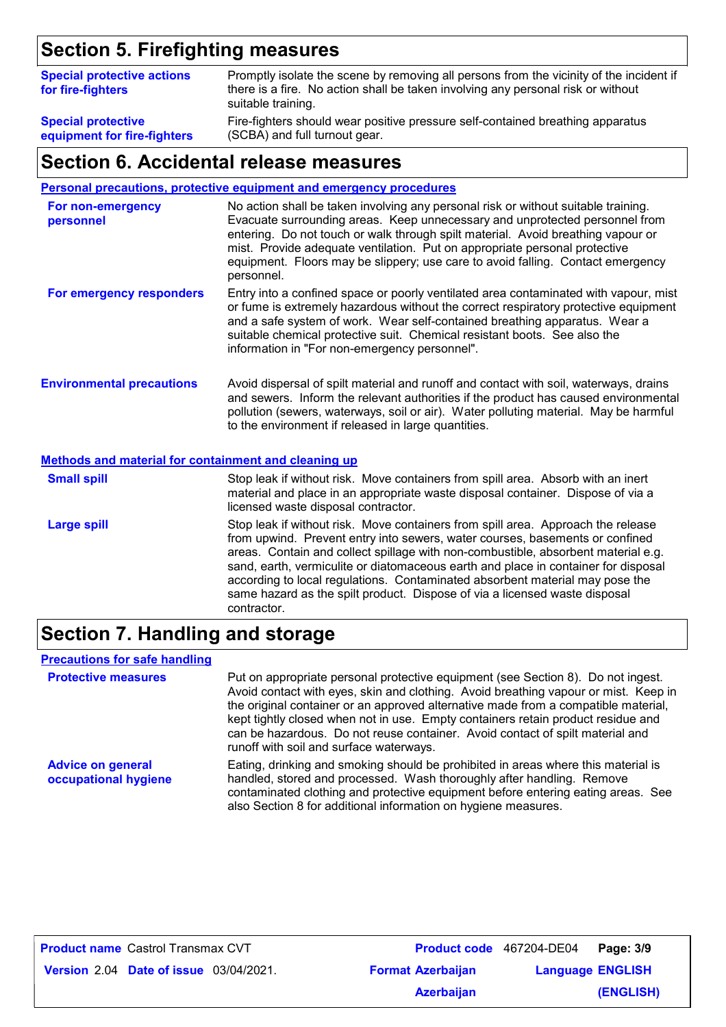### **Section 5. Firefighting measures**

| <b>Special protective actions</b><br>for fire-fighters | Promptly isolate the scene by removing all persons from the vicinity of the incident if<br>there is a fire. No action shall be taken involving any personal risk or without<br>suitable training. |
|--------------------------------------------------------|---------------------------------------------------------------------------------------------------------------------------------------------------------------------------------------------------|
| <b>Special protective</b>                              | Fire-fighters should wear positive pressure self-contained breathing apparatus                                                                                                                    |
| equipment for fire-fighters                            | (SCBA) and full turnout gear.                                                                                                                                                                     |

### **Section 6. Accidental release measures**

#### **Personal precautions, protective equipment and emergency procedures**

| For non-emergency<br>personnel   | No action shall be taken involving any personal risk or without suitable training.<br>Evacuate surrounding areas. Keep unnecessary and unprotected personnel from<br>entering. Do not touch or walk through spilt material. Avoid breathing vapour or<br>mist. Provide adequate ventilation. Put on appropriate personal protective<br>equipment. Floors may be slippery; use care to avoid falling. Contact emergency<br>personnel. |
|----------------------------------|--------------------------------------------------------------------------------------------------------------------------------------------------------------------------------------------------------------------------------------------------------------------------------------------------------------------------------------------------------------------------------------------------------------------------------------|
| For emergency responders         | Entry into a confined space or poorly ventilated area contaminated with vapour, mist<br>or fume is extremely hazardous without the correct respiratory protective equipment<br>and a safe system of work. Wear self-contained breathing apparatus. Wear a<br>suitable chemical protective suit. Chemical resistant boots. See also the<br>information in "For non-emergency personnel".                                              |
| <b>Environmental precautions</b> | Avoid dispersal of spilt material and runoff and contact with soil, waterways, drains<br>and sewers. Inform the relevant authorities if the product has caused environmental<br>pollution (sewers, waterways, soil or air). Water polluting material. May be harmful<br>to the environment if released in large quantities.                                                                                                          |

#### **Methods and material for containment and cleaning up**

| <b>Small spill</b> | Stop leak if without risk. Move containers from spill area. Absorb with an inert<br>material and place in an appropriate waste disposal container. Dispose of via a<br>licensed waste disposal contractor.                                                                                                                                                                                                                                                                                                               |
|--------------------|--------------------------------------------------------------------------------------------------------------------------------------------------------------------------------------------------------------------------------------------------------------------------------------------------------------------------------------------------------------------------------------------------------------------------------------------------------------------------------------------------------------------------|
| <b>Large spill</b> | Stop leak if without risk. Move containers from spill area. Approach the release<br>from upwind. Prevent entry into sewers, water courses, basements or confined<br>areas. Contain and collect spillage with non-combustible, absorbent material e.g.<br>sand, earth, vermiculite or diatomaceous earth and place in container for disposal<br>according to local regulations. Contaminated absorbent material may pose the<br>same hazard as the spilt product. Dispose of via a licensed waste disposal<br>contractor. |

### **Section 7. Handling and storage**

#### **Precautions for safe handling**

| <b>Protective measures</b>                       | Put on appropriate personal protective equipment (see Section 8). Do not ingest.<br>Avoid contact with eyes, skin and clothing. Avoid breathing vapour or mist. Keep in<br>the original container or an approved alternative made from a compatible material,<br>kept tightly closed when not in use. Empty containers retain product residue and<br>can be hazardous. Do not reuse container. Avoid contact of spilt material and<br>runoff with soil and surface waterways. |
|--------------------------------------------------|-------------------------------------------------------------------------------------------------------------------------------------------------------------------------------------------------------------------------------------------------------------------------------------------------------------------------------------------------------------------------------------------------------------------------------------------------------------------------------|
| <b>Advice on general</b><br>occupational hygiene | Eating, drinking and smoking should be prohibited in areas where this material is<br>handled, stored and processed. Wash thoroughly after handling. Remove<br>contaminated clothing and protective equipment before entering eating areas. See<br>also Section 8 for additional information on hygiene measures.                                                                                                                                                              |

**Product name** Castrol Transmax CVT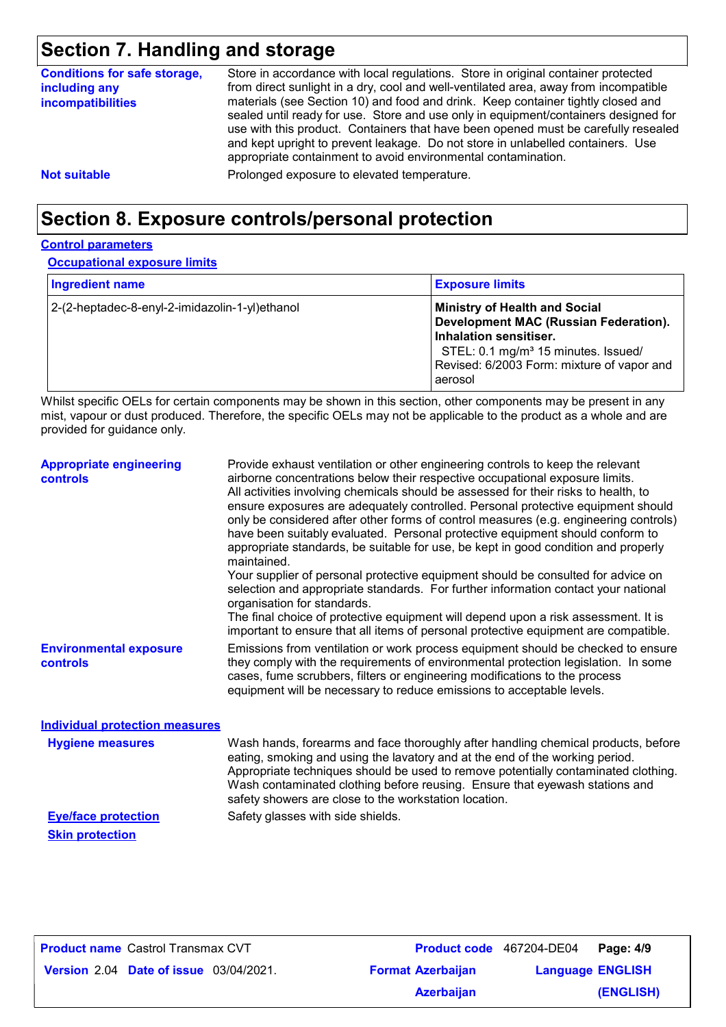### **Section 7. Handling and storage**

| <b>Conditions for safe storage,</b><br>including any<br><b>incompatibilities</b> | Store in accordance with local regulations. Store in original container protected<br>from direct sunlight in a dry, cool and well-ventilated area, away from incompatible<br>materials (see Section 10) and food and drink. Keep container tightly closed and<br>sealed until ready for use. Store and use only in equipment/containers designed for<br>use with this product. Containers that have been opened must be carefully resealed<br>and kept upright to prevent leakage. Do not store in unlabelled containers. Use<br>appropriate containment to avoid environmental contamination. |
|----------------------------------------------------------------------------------|------------------------------------------------------------------------------------------------------------------------------------------------------------------------------------------------------------------------------------------------------------------------------------------------------------------------------------------------------------------------------------------------------------------------------------------------------------------------------------------------------------------------------------------------------------------------------------------------|
| <b>Not suitable</b>                                                              | Prolonged exposure to elevated temperature.                                                                                                                                                                                                                                                                                                                                                                                                                                                                                                                                                    |

### **Section 8. Exposure controls/personal protection**

#### **Control parameters**

**Occupational exposure limits**

| <b>Ingredient name</b>                         | <b>Exposure limits</b>                                                                                                                                                                                              |
|------------------------------------------------|---------------------------------------------------------------------------------------------------------------------------------------------------------------------------------------------------------------------|
| 2-(2-heptadec-8-enyl-2-imidazolin-1-yl)ethanol | <b>Ministry of Health and Social</b><br>Development MAC (Russian Federation).<br>Inhalation sensitiser.<br>STEL: 0.1 mg/m <sup>3</sup> 15 minutes. Issued/<br>Revised: 6/2003 Form: mixture of vapor and<br>aerosol |

Whilst specific OELs for certain components may be shown in this section, other components may be present in any mist, vapour or dust produced. Therefore, the specific OELs may not be applicable to the product as a whole and are provided for guidance only.

| <b>Appropriate engineering</b><br><b>controls</b> | Provide exhaust ventilation or other engineering controls to keep the relevant<br>airborne concentrations below their respective occupational exposure limits.<br>All activities involving chemicals should be assessed for their risks to health, to<br>ensure exposures are adequately controlled. Personal protective equipment should<br>only be considered after other forms of control measures (e.g. engineering controls)<br>have been suitably evaluated. Personal protective equipment should conform to<br>appropriate standards, be suitable for use, be kept in good condition and properly<br>maintained.<br>Your supplier of personal protective equipment should be consulted for advice on<br>selection and appropriate standards. For further information contact your national<br>organisation for standards.<br>The final choice of protective equipment will depend upon a risk assessment. It is<br>important to ensure that all items of personal protective equipment are compatible. |
|---------------------------------------------------|---------------------------------------------------------------------------------------------------------------------------------------------------------------------------------------------------------------------------------------------------------------------------------------------------------------------------------------------------------------------------------------------------------------------------------------------------------------------------------------------------------------------------------------------------------------------------------------------------------------------------------------------------------------------------------------------------------------------------------------------------------------------------------------------------------------------------------------------------------------------------------------------------------------------------------------------------------------------------------------------------------------|
| <b>Environmental exposure</b><br><b>controls</b>  | Emissions from ventilation or work process equipment should be checked to ensure<br>they comply with the requirements of environmental protection legislation. In some<br>cases, fume scrubbers, filters or engineering modifications to the process<br>equipment will be necessary to reduce emissions to acceptable levels.                                                                                                                                                                                                                                                                                                                                                                                                                                                                                                                                                                                                                                                                                 |
| <b>Individual protection measures</b>             |                                                                                                                                                                                                                                                                                                                                                                                                                                                                                                                                                                                                                                                                                                                                                                                                                                                                                                                                                                                                               |
| <b>Hygiene measures</b>                           | Wash hands, forearms and face thoroughly after handling chemical products, before<br>eating, smoking and using the lavatory and at the end of the working period.<br>Appropriate techniques should be used to remove potentially contaminated clothing.<br>Wash contaminated clothing before reusing. Ensure that eyewash stations and<br>safety showers are close to the workstation location.                                                                                                                                                                                                                                                                                                                                                                                                                                                                                                                                                                                                               |

**Skin protection**

**Eye/face protection** Safety glasses with side shields.

| <b>Product name</b> Castrol Transmax CVT      |  |                          | <b>Product code</b> 467204-DE04 Page: 4/9 |           |
|-----------------------------------------------|--|--------------------------|-------------------------------------------|-----------|
| <b>Version 2.04 Date of issue 03/04/2021.</b> |  | <b>Format Azerbaijan</b> | <b>Language ENGLISH</b>                   |           |
|                                               |  | <b>Azerbaijan</b>        |                                           | (ENGLISH) |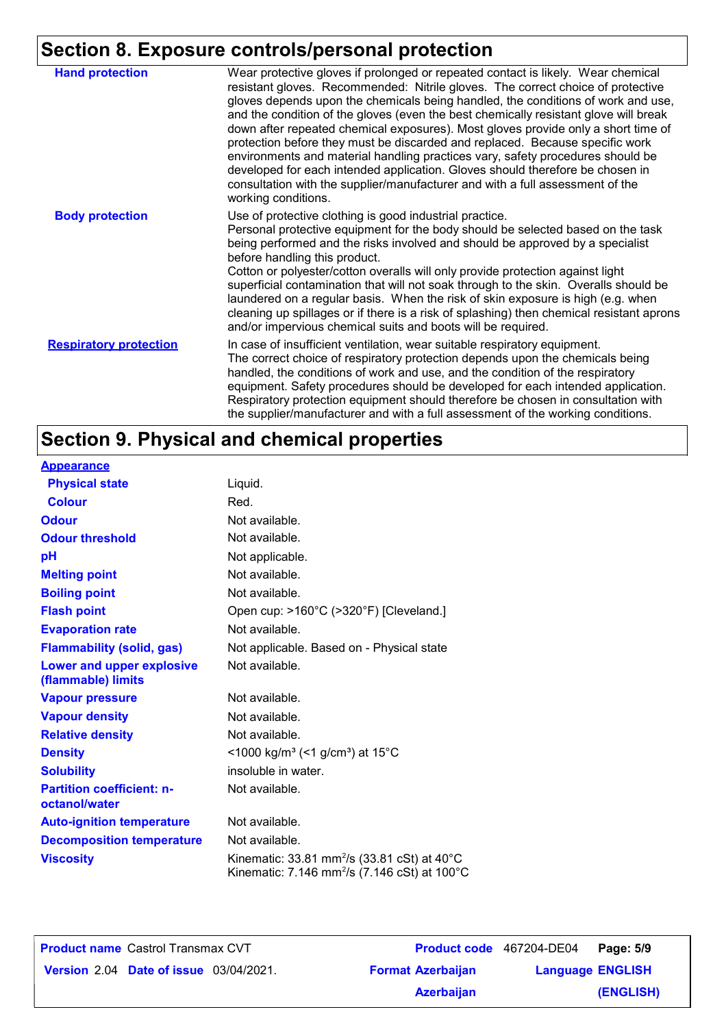### **Section 8. Exposure controls/personal protection**

| <b>Hand protection</b>        | Wear protective gloves if prolonged or repeated contact is likely. Wear chemical<br>resistant gloves. Recommended: Nitrile gloves. The correct choice of protective<br>gloves depends upon the chemicals being handled, the conditions of work and use,<br>and the condition of the gloves (even the best chemically resistant glove will break<br>down after repeated chemical exposures). Most gloves provide only a short time of<br>protection before they must be discarded and replaced. Because specific work<br>environments and material handling practices vary, safety procedures should be<br>developed for each intended application. Gloves should therefore be chosen in<br>consultation with the supplier/manufacturer and with a full assessment of the<br>working conditions. |
|-------------------------------|-------------------------------------------------------------------------------------------------------------------------------------------------------------------------------------------------------------------------------------------------------------------------------------------------------------------------------------------------------------------------------------------------------------------------------------------------------------------------------------------------------------------------------------------------------------------------------------------------------------------------------------------------------------------------------------------------------------------------------------------------------------------------------------------------|
| <b>Body protection</b>        | Use of protective clothing is good industrial practice.<br>Personal protective equipment for the body should be selected based on the task<br>being performed and the risks involved and should be approved by a specialist<br>before handling this product.<br>Cotton or polyester/cotton overalls will only provide protection against light<br>superficial contamination that will not soak through to the skin. Overalls should be<br>laundered on a regular basis. When the risk of skin exposure is high (e.g. when<br>cleaning up spillages or if there is a risk of splashing) then chemical resistant aprons<br>and/or impervious chemical suits and boots will be required.                                                                                                           |
| <b>Respiratory protection</b> | In case of insufficient ventilation, wear suitable respiratory equipment.<br>The correct choice of respiratory protection depends upon the chemicals being<br>handled, the conditions of work and use, and the condition of the respiratory<br>equipment. Safety procedures should be developed for each intended application.<br>Respiratory protection equipment should therefore be chosen in consultation with<br>the supplier/manufacturer and with a full assessment of the working conditions.                                                                                                                                                                                                                                                                                           |

## **Section 9. Physical and chemical properties**

| <b>Appearance</b>                                 |                                                                                                                               |
|---------------------------------------------------|-------------------------------------------------------------------------------------------------------------------------------|
| <b>Physical state</b>                             | Liquid.                                                                                                                       |
| <b>Colour</b>                                     | Red.                                                                                                                          |
| <b>Odour</b>                                      | Not available.                                                                                                                |
| <b>Odour threshold</b>                            | Not available.                                                                                                                |
| pH                                                | Not applicable.                                                                                                               |
| <b>Melting point</b>                              | Not available.                                                                                                                |
| <b>Boiling point</b>                              | Not available.                                                                                                                |
| <b>Flash point</b>                                | Open cup: >160°C (>320°F) [Cleveland.]                                                                                        |
| <b>Evaporation rate</b>                           | Not available.                                                                                                                |
| <b>Flammability (solid, gas)</b>                  | Not applicable. Based on - Physical state                                                                                     |
| Lower and upper explosive<br>(flammable) limits   | Not available.                                                                                                                |
| <b>Vapour pressure</b>                            | Not available.                                                                                                                |
| <b>Vapour density</b>                             | Not available.                                                                                                                |
| <b>Relative density</b>                           | Not available.                                                                                                                |
| <b>Density</b>                                    | <1000 kg/m <sup>3</sup> (<1 g/cm <sup>3</sup> ) at 15°C                                                                       |
| <b>Solubility</b>                                 | insoluble in water.                                                                                                           |
| <b>Partition coefficient: n-</b><br>octanol/water | Not available.                                                                                                                |
| <b>Auto-ignition temperature</b>                  | Not available.                                                                                                                |
| <b>Decomposition temperature</b>                  | Not available.                                                                                                                |
| <b>Viscosity</b>                                  | Kinematic: 33.81 mm <sup>2</sup> /s (33.81 cSt) at $40^{\circ}$ C<br>Kinematic: 7.146 mm <sup>2</sup> /s (7.146 cSt) at 100°C |

**Product name** Castrol Transmax CVT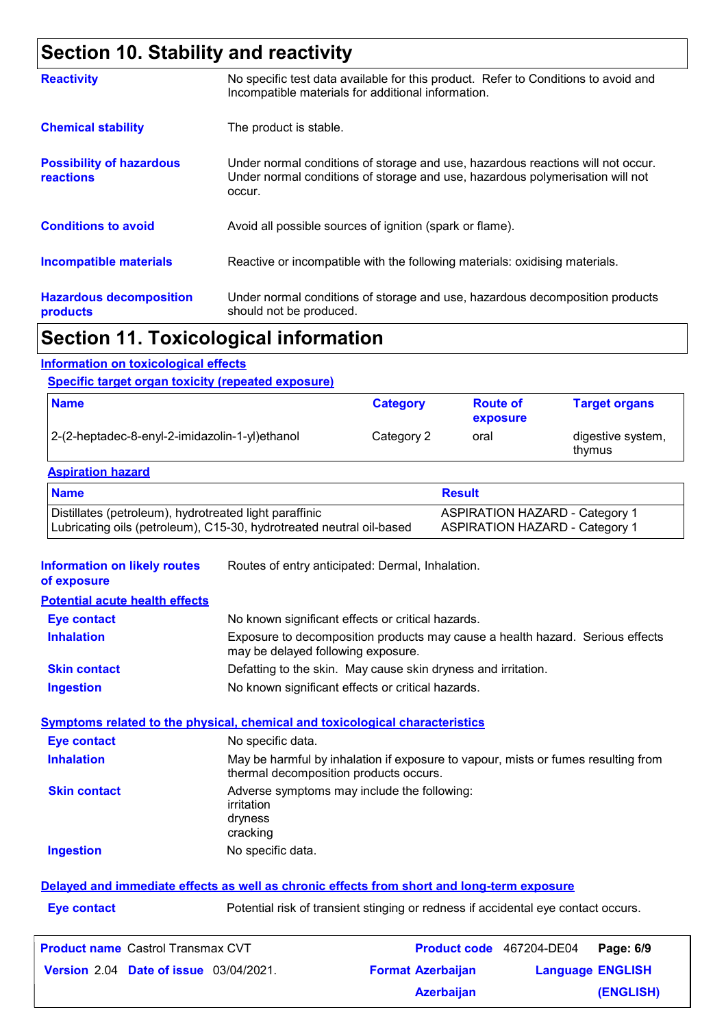### **Section 10. Stability and reactivity**

|                                                     | The continued to the contribution of the contribution of the contribution of the contribution of the                                                                       |  |
|-----------------------------------------------------|----------------------------------------------------------------------------------------------------------------------------------------------------------------------------|--|
| <b>Hazardous decomposition</b><br>products          | Under normal conditions of storage and use, hazardous decomposition products<br>should not be produced.                                                                    |  |
| <b>Incompatible materials</b>                       | Reactive or incompatible with the following materials: oxidising materials.                                                                                                |  |
| <b>Conditions to avoid</b>                          | Avoid all possible sources of ignition (spark or flame).                                                                                                                   |  |
| <b>Possibility of hazardous</b><br><b>reactions</b> | Under normal conditions of storage and use, hazardous reactions will not occur.<br>Under normal conditions of storage and use, hazardous polymerisation will not<br>occur. |  |
| <b>Chemical stability</b>                           | The product is stable.                                                                                                                                                     |  |
| <b>Reactivity</b>                                   | No specific test data available for this product. Refer to Conditions to avoid and<br>Incompatible materials for additional information.                                   |  |

### **Section 11. Toxicological information**

#### **Information on toxicological effects**

#### **Specific target organ toxicity (repeated exposure)**

| <b>Name</b>                                    | <b>Category</b> | <b>Route of</b><br>exposure | <b>Target organs</b>        |
|------------------------------------------------|-----------------|-----------------------------|-----------------------------|
| 2-(2-heptadec-8-enyl-2-imidazolin-1-yl)ethanol | Category 2      | oral                        | digestive system,<br>thymus |

#### **Aspiration hazard**

| <b>Name</b>                                                          | <b>Result</b>                         |
|----------------------------------------------------------------------|---------------------------------------|
| Distillates (petroleum), hydrotreated light paraffinic               | <b>ASPIRATION HAZARD - Category 1</b> |
| Lubricating oils (petroleum), C15-30, hydrotreated neutral oil-based | <b>ASPIRATION HAZARD - Category 1</b> |

**Information on likely routes**  Routes of entry anticipated: Dermal, Inhalation.

|  |  | of exposure |  |  |
|--|--|-------------|--|--|
|--|--|-------------|--|--|

**Potential acute health effects Inhalation** Exposure to decomposition products may cause a health hazard. Serious effects may be delayed following exposure. **Ingestion** No known significant effects or critical hazards. **Skin contact** Defatting to the skin. May cause skin dryness and irritation. **Eye contact** No known significant effects or critical hazards.

#### **Symptoms related to the physical, chemical and toxicological characteristics**

| <b>Eye contact</b>  | No specific data.                                                                                                           |
|---------------------|-----------------------------------------------------------------------------------------------------------------------------|
| <b>Inhalation</b>   | May be harmful by inhalation if exposure to vapour, mists or fumes resulting from<br>thermal decomposition products occurs. |
| <b>Skin contact</b> | Adverse symptoms may include the following:<br>irritation<br>dryness<br>cracking                                            |
| <b>Ingestion</b>    | No specific data.                                                                                                           |
|                     |                                                                                                                             |

#### **Delayed and immediate effects as well as chronic effects from short and long-term exposure**

**Eye contact** Potential risk of transient stinging or redness if accidental eye contact occurs.

| <b>Product name</b> Castrol Transmax CVT      |                          | <b>Product code</b> 467204-DE04 Page: 6/9 |           |
|-----------------------------------------------|--------------------------|-------------------------------------------|-----------|
| <b>Version 2.04 Date of issue 03/04/2021.</b> | <b>Format Azerbaijan</b> | <b>Language ENGLISH</b>                   |           |
|                                               | <b>Azerbaijan</b>        |                                           | (ENGLISH) |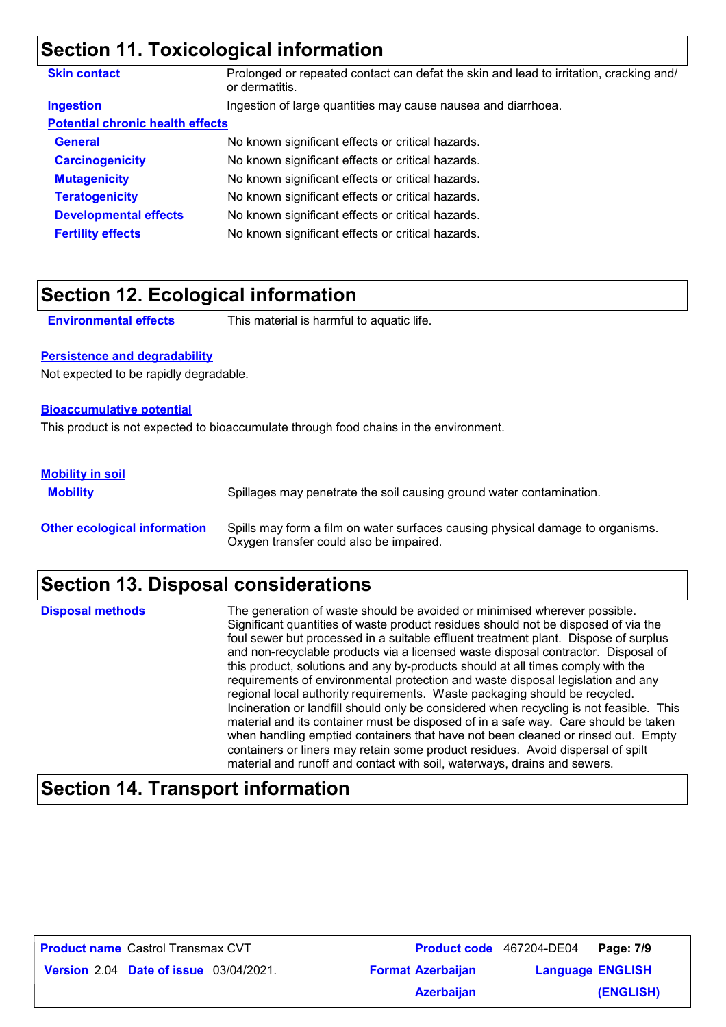### **Section 11. Toxicological information**

| <b>Skin contact</b>                     | Prolonged or repeated contact can defat the skin and lead to irritation, cracking and/<br>or dermatitis. |
|-----------------------------------------|----------------------------------------------------------------------------------------------------------|
| <b>Ingestion</b>                        | Ingestion of large quantities may cause nausea and diarrhoea.                                            |
| <b>Potential chronic health effects</b> |                                                                                                          |
| <b>General</b>                          | No known significant effects or critical hazards.                                                        |
| <b>Carcinogenicity</b>                  | No known significant effects or critical hazards.                                                        |
| <b>Mutagenicity</b>                     | No known significant effects or critical hazards.                                                        |
| <b>Teratogenicity</b>                   | No known significant effects or critical hazards.                                                        |
| <b>Developmental effects</b>            | No known significant effects or critical hazards.                                                        |
| <b>Fertility effects</b>                | No known significant effects or critical hazards.                                                        |

### **Section 12. Ecological information**

**Environmental effects** This material is harmful to aquatic life.

#### **Persistence and degradability**

Not expected to be rapidly degradable.

#### **Bioaccumulative potential**

This product is not expected to bioaccumulate through food chains in the environment.

#### **Mobility in soil**

**Mobility** Spillages may penetrate the soil causing ground water contamination. **Other ecological information** Spills may form a film on water surfaces causing physical damage to organisms. Oxygen transfer could also be impaired.

### **Section 13. Disposal considerations**

The generation of waste should be avoided or minimised wherever possible. Significant quantities of waste product residues should not be disposed of via the foul sewer but processed in a suitable effluent treatment plant. Dispose of surplus and non-recyclable products via a licensed waste disposal contractor. Disposal of this product, solutions and any by-products should at all times comply with the requirements of environmental protection and waste disposal legislation and any regional local authority requirements. Waste packaging should be recycled. Incineration or landfill should only be considered when recycling is not feasible. This material and its container must be disposed of in a safe way. Care should be taken when handling emptied containers that have not been cleaned or rinsed out. Empty containers or liners may retain some product residues. Avoid dispersal of spilt material and runoff and contact with soil, waterways, drains and sewers. **Disposal methods**

### **Section 14. Transport information**

| <b>Product name Castrol Transmax CVT</b>      |                          | <b>Product code</b> 467204-DE04 Page: 7/9 |           |
|-----------------------------------------------|--------------------------|-------------------------------------------|-----------|
| <b>Version 2.04 Date of issue 03/04/2021.</b> | <b>Format Azerbaijan</b> | <b>Language ENGLISH</b>                   |           |
|                                               | <b>Azerbaijan</b>        |                                           | (ENGLISH) |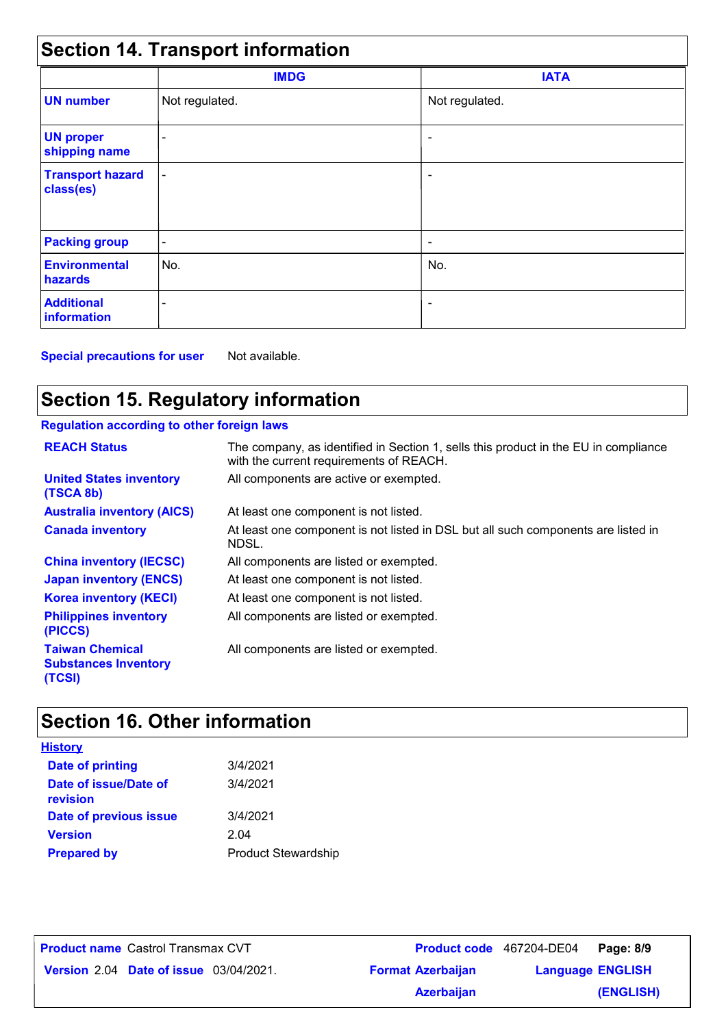| <b>Section 14. Transport information</b> |                          |                          |  |  |  |
|------------------------------------------|--------------------------|--------------------------|--|--|--|
|                                          | <b>IMDG</b>              | <b>IATA</b>              |  |  |  |
| <b>UN number</b>                         | Not regulated.           | Not regulated.           |  |  |  |
| <b>UN proper</b><br>shipping name        |                          |                          |  |  |  |
| <b>Transport hazard</b><br>class(es)     | $\overline{\phantom{a}}$ | ٠                        |  |  |  |
| <b>Packing group</b>                     | $\overline{\phantom{a}}$ | $\overline{\phantom{a}}$ |  |  |  |
| <b>Environmental</b><br>hazards          | No.                      | No.                      |  |  |  |
| <b>Additional</b><br>information         |                          | $\overline{\phantom{a}}$ |  |  |  |

**Special precautions for user** Not available.

### **Section 15. Regulatory information**

### **Regulation according to other foreign laws**

| <b>REACH Status</b>                                             | The company, as identified in Section 1, sells this product in the EU in compliance<br>with the current requirements of REACH. |
|-----------------------------------------------------------------|--------------------------------------------------------------------------------------------------------------------------------|
| <b>United States inventory</b><br>(TSCA 8b)                     | All components are active or exempted.                                                                                         |
| <b>Australia inventory (AICS)</b>                               | At least one component is not listed.                                                                                          |
| <b>Canada inventory</b>                                         | At least one component is not listed in DSL but all such components are listed in<br>NDSL.                                     |
| <b>China inventory (IECSC)</b>                                  | All components are listed or exempted.                                                                                         |
| <b>Japan inventory (ENCS)</b>                                   | At least one component is not listed.                                                                                          |
| <b>Korea inventory (KECI)</b>                                   | At least one component is not listed.                                                                                          |
| <b>Philippines inventory</b><br>(PICCS)                         | All components are listed or exempted.                                                                                         |
| <b>Taiwan Chemical</b><br><b>Substances Inventory</b><br>(TCSI) | All components are listed or exempted.                                                                                         |

### **Section 16. Other information**

| <u>History</u>                    |                            |
|-----------------------------------|----------------------------|
| Date of printing                  | 3/4/2021                   |
| Date of issue/Date of<br>revision | 3/4/2021                   |
| Date of previous issue            | 3/4/2021                   |
| <b>Version</b>                    | 2.04                       |
| <b>Prepared by</b>                | <b>Product Stewardship</b> |

**Date of issue** 03/04/2021. **Version** 2.04 **Format Azerbaijan Language** Castrol Transmax CVT **Page: 8/9** 467204-DE04 **Language ENGLISH (ENGLISH) Product name** Castrol Transmax CVT **Azerbaijan**